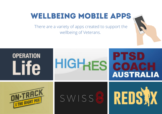# WELLBEING MOBILE APPS

There are a variety of apps created to support the wellbeing of Veterans.